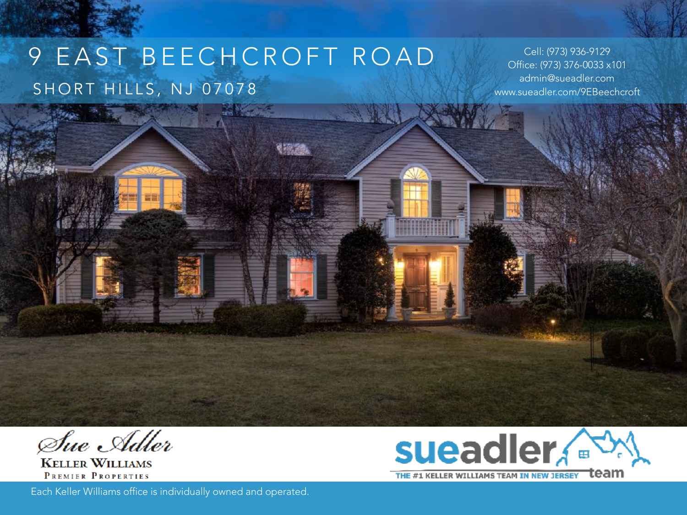# 9 EAST BEECHCROFT ROAD SHORT HILLS, NJ 07078

**トリンクス** 

Cell: (973) 936-9129 Office: (973) 376-0033 x101 admin@sueadler.com www.sueadler.com/9EBeechcroft

Sue Adler

**KELLER WILLIAMS** PREMIER PROPERTIES

Each Keller Williams office is individually owned and operated.

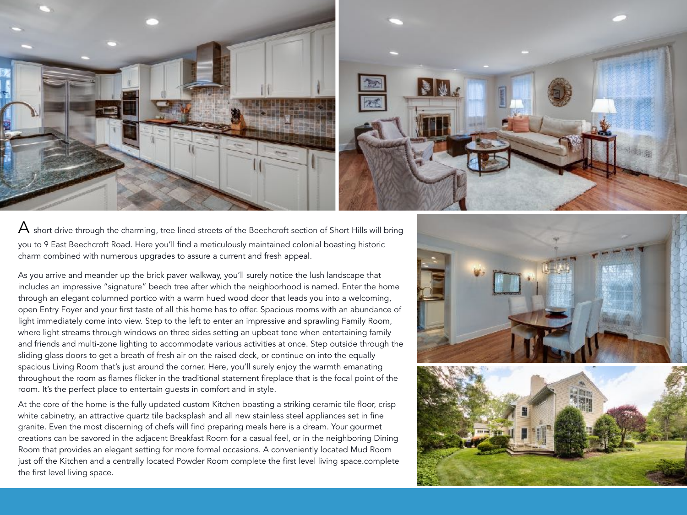

 $\bm{\mathsf{A}}$  short drive through the charming, tree lined streets of the Beechcroft section of Short Hills will bring you to 9 East Beechcroft Road. Here you'll find a meticulously maintained colonial boasting historic charm combined with numerous upgrades to assure a current and fresh appeal.

As you arrive and meander up the brick paver walkway, you'll surely notice the lush landscape that includes an impressive "signature" beech tree after which the neighborhood is named. Enter the home through an elegant columned portico with a warm hued wood door that leads you into a welcoming, open Entry Foyer and your first taste of all this home has to offer. Spacious rooms with an abundance of light immediately come into view. Step to the left to enter an impressive and sprawling Family Room, where light streams through windows on three sides setting an upbeat tone when entertaining family and friends and multi-zone lighting to accommodate various activities at once. Step outside through the sliding glass doors to get a breath of fresh air on the raised deck, or continue on into the equally spacious Living Room that's just around the corner. Here, you'll surely enjoy the warmth emanating throughout the room as flames flicker in the traditional statement fireplace that is the focal point of the room. It's the perfect place to entertain guests in comfort and in style.

At the core of the home is the fully updated custom Kitchen boasting a striking ceramic tile floor, crisp white cabinetry, an attractive quartz tile backsplash and all new stainless steel appliances set in fine granite. Even the most discerning of chefs will find preparing meals here is a dream. Your gourmet creations can be savored in the adjacent Breakfast Room for a casual feel, or in the neighboring Dining Room that provides an elegant setting for more formal occasions. A conveniently located Mud Room just off the Kitchen and a centrally located Powder Room complete the first level living space.complete the first level living space.



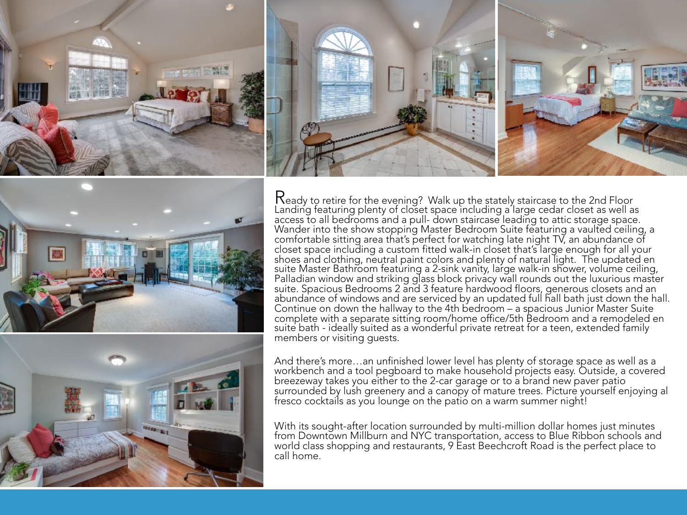





Ready to retire for the evening? Walk up the stately staircase to the 2nd Floor Landing featuring plenty of closet space including a large cedar closet as well as access to all bedrooms and a pull- down staircase leading to attic storage space. Wander into the show stopping Master Bedroom Suite featuring a vaulted ceiling, a comfortable sitting area that's perfect for watching late night TV, an abundance of closet space including a custom fitted walk-in closet that's large enough for all your suite Master Bathroom featuring a 2-sink vanity, large walk-in shower, volume ceiling, Palladian window and striking glass block privacy wall rounds out the luxurious master suite. Spacious Bedrooms 2 and 3 feature hardwood floors, generous closets and an abundance of windows and are serviced by an updated full hall bath just down the hall. Continue on down the hallway to the 4th bedroom – a spacious Junior Master Suite complete with a separate sitting room/home office/5th Bedroom and a remodeled en suite bath - ideally suited as a wonderful private retreat for a teen, extended family members or visiting guests.

And there's more…an unfinished lower level has plenty of storage space as well as a workbench and a tool pegboard to make household projects easy. Outside, a covered breezeway takes you either to the 2-car garage or to a brand new paver patio surrounded by lush greenery and a canopy of mature trees. Picture yourself enjoying al fresco cocktails as you lounge on the patio on a warm summer night!

With its sought-after location surrounded by multi-million dollar homes just minutes from Downtown Millburn and NYC transportation, access to Blue Ribbon schools and world class shopping and restaurants, 9 East Beechcroft Road is the perfect place to call home.